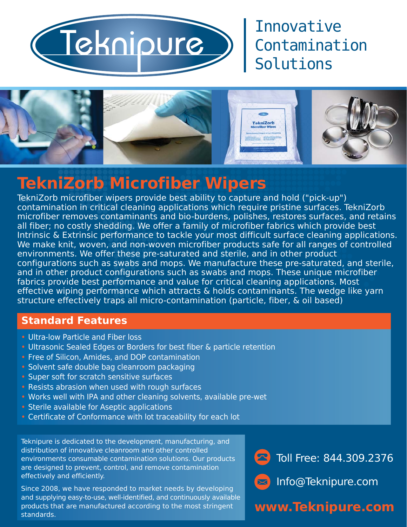

## Innovative Contamination Solutions



# **TekniZorb Microfiber Wipers**

TekniZorb microfiber wipers provide best ability to capture and hold ("pick-up") contamination in critical cleaning applications which require pristine surfaces. TekniZorb microfiber removes contaminants and bio-burdens, polishes, restores surfaces, and retains all fiber; no costly shedding. We offer a family of microfiber fabrics which provide best Intrinsic & Extrinsic performance to tackle your most difficult surface cleaning applications. We make knit, woven, and non-woven microfiber products safe for all ranges of controlled environments. We offer these pre-saturated and sterile, and in other product configurations such as swabs and mops. We manufacture these pre-saturated, and sterile, and in other product configurations such as swabs and mops. These unique microfiber fabrics provide best performance and value for critical cleaning applications. Most effective wiping performance which attracts & holds contaminants. The wedge like yarn structure effectively traps all micro-contamination (particle, fiber, & oil based)

#### **Standard Features**

- Ultra-low Particle and Fiber loss
- Ultrasonic Sealed Edges or Borders for best fiber & particle retention
- Free of Silicon, Amides, and DOP contamination
- Solvent safe double bag cleanroom packaging
- Super soft for scratch sensitive surfaces
- Resists abrasion when used with rough surfaces
- Works well with IPA and other cleaning solvents, available pre-wet
- Sterile available for Aseptic applications
- Certificate of Conformance with lot traceability for each lot

Teknipure is dedicated to the development, manufacturing, and distribution of innovative cleanroom and other controlled environments consumable contamination solutions. Our products are designed to prevent, control, and remove contamination effectively and efficiently.

Since 2008, we have responded to market needs by developing and supplying easy-to-use, well-identified, and continuously available products that are manufactured according to the most stringent standards.





Info@Teknipure.com

## **www.Teknipure.com**